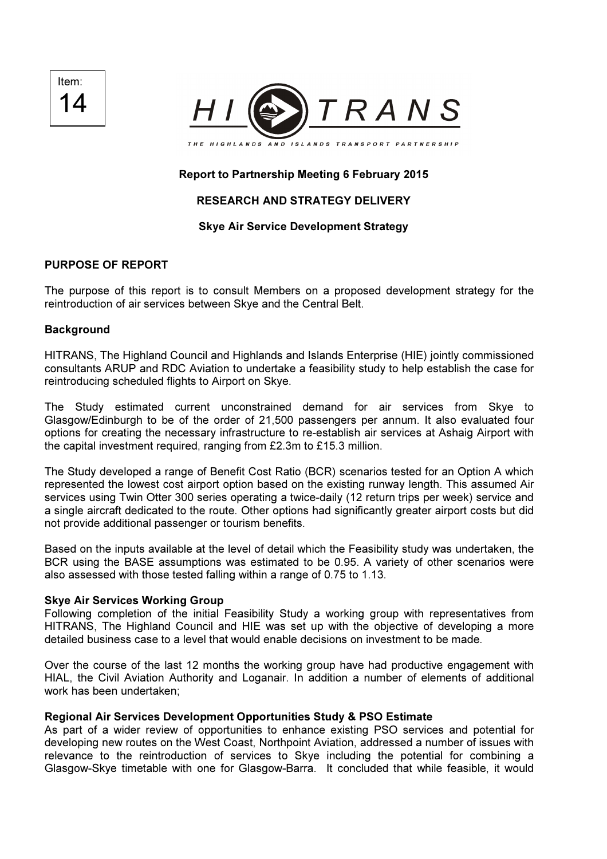Item: 14



# Report to Partnership Meeting 6 February 2015

# RESEARCH AND STRATEGY DELIVERY

## Skye Air Service Development Strategy

## PURPOSE OF REPORT

The purpose of this report is to consult Members on a proposed development strategy for the reintroduction of air services between Skye and the Central Belt.

### **Background**

HITRANS, The Highland Council and Highlands and Islands Enterprise (HIE) jointly commissioned consultants ARUP and RDC Aviation to undertake a feasibility study to help establish the case for reintroducing scheduled flights to Airport on Skye.

The Study estimated current unconstrained demand for air services from Skye to Glasgow/Edinburgh to be of the order of 21,500 passengers per annum. It also evaluated four options for creating the necessary infrastructure to re-establish air services at Ashaig Airport with the capital investment required, ranging from £2.3m to £15.3 million.

The Study developed a range of Benefit Cost Ratio (BCR) scenarios tested for an Option A which represented the lowest cost airport option based on the existing runway length. This assumed Air services using Twin Otter 300 series operating a twice-daily (12 return trips per week) service and a single aircraft dedicated to the route. Other options had significantly greater airport costs but did not provide additional passenger or tourism benefits.

Based on the inputs available at the level of detail which the Feasibility study was undertaken, the BCR using the BASE assumptions was estimated to be 0.95. A variety of other scenarios were also assessed with those tested falling within a range of 0.75 to 1.13.

### Skye Air Services Working Group

Following completion of the initial Feasibility Study a working group with representatives from HITRANS, The Highland Council and HIE was set up with the objective of developing a more detailed business case to a level that would enable decisions on investment to be made.

Over the course of the last 12 months the working group have had productive engagement with HIAL, the Civil Aviation Authority and Loganair. In addition a number of elements of additional work has been undertaken;

### Regional Air Services Development Opportunities Study & PSO Estimate

As part of a wider review of opportunities to enhance existing PSO services and potential for developing new routes on the West Coast, Northpoint Aviation, addressed a number of issues with relevance to the reintroduction of services to Skye including the potential for combining a Glasgow-Skye timetable with one for Glasgow-Barra. It concluded that while feasible, it would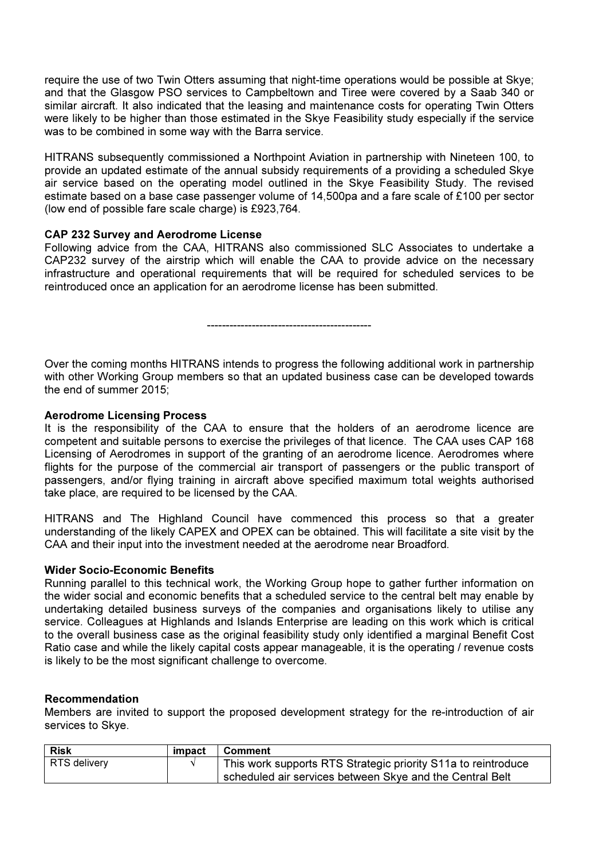require the use of two Twin Otters assuming that night-time operations would be possible at Skye; and that the Glasgow PSO services to Campbeltown and Tiree were covered by a Saab 340 or similar aircraft. It also indicated that the leasing and maintenance costs for operating Twin Otters were likely to be higher than those estimated in the Skye Feasibility study especially if the service was to be combined in some way with the Barra service.

HITRANS subsequently commissioned a Northpoint Aviation in partnership with Nineteen 100, to provide an updated estimate of the annual subsidy requirements of a providing a scheduled Skye air service based on the operating model outlined in the Skye Feasibility Study. The revised estimate based on a base case passenger volume of 14,500pa and a fare scale of £100 per sector (low end of possible fare scale charge) is £923,764.

## CAP 232 Survey and Aerodrome License

Following advice from the CAA, HITRANS also commissioned SLC Associates to undertake a CAP232 survey of the airstrip which will enable the CAA to provide advice on the necessary infrastructure and operational requirements that will be required for scheduled services to be reintroduced once an application for an aerodrome license has been submitted.

--------------------------------------------

Over the coming months HITRANS intends to progress the following additional work in partnership with other Working Group members so that an updated business case can be developed towards the end of summer 2015;

### Aerodrome Licensing Process

It is the responsibility of the CAA to ensure that the holders of an aerodrome licence are competent and suitable persons to exercise the privileges of that licence. The CAA uses CAP 168 Licensing of Aerodromes in support of the granting of an aerodrome licence. Aerodromes where flights for the purpose of the commercial air transport of passengers or the public transport of passengers, and/or flying training in aircraft above specified maximum total weights authorised take place, are required to be licensed by the CAA.

HITRANS and The Highland Council have commenced this process so that a greater understanding of the likely CAPEX and OPEX can be obtained. This will facilitate a site visit by the CAA and their input into the investment needed at the aerodrome near Broadford.

### Wider Socio-Economic Benefits

Running parallel to this technical work, the Working Group hope to gather further information on the wider social and economic benefits that a scheduled service to the central belt may enable by undertaking detailed business surveys of the companies and organisations likely to utilise any service. Colleagues at Highlands and Islands Enterprise are leading on this work which is critical to the overall business case as the original feasibility study only identified a marginal Benefit Cost Ratio case and while the likely capital costs appear manageable, it is the operating / revenue costs is likely to be the most significant challenge to overcome.

### Recommendation

Members are invited to support the proposed development strategy for the re-introduction of air services to Skye.

| <b>Risk</b>  | impact | ∣ Comment                                                     |
|--------------|--------|---------------------------------------------------------------|
| RTS delivery |        | This work supports RTS Strategic priority S11a to reintroduce |
|              |        | scheduled air services between Skye and the Central Belt      |